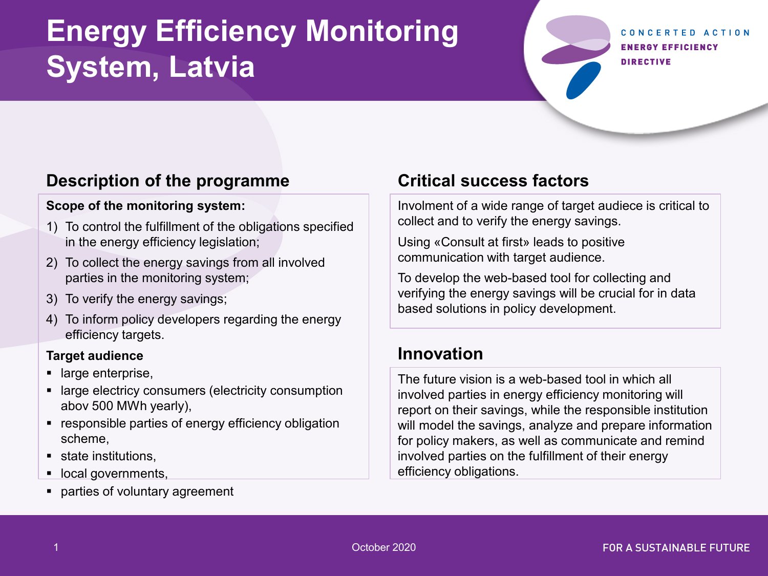# **Energy Efficiency Monitoring System, Latvia**

#### CONCERTED ACTION **ENERGY EFFICIENCY DIRECTIVE**

## **Description of the programme**

#### **Scope of the monitoring system:**

- 1) To control the fulfillment of the obligations specified in the energy efficiency legislation;
- 2) To collect the energy savings from all involved parties in the monitoring system;
- 3) To verify the energy savings;
- 4) To inform policy developers regarding the energy efficiency targets.

#### **Target audience**

- large enterprise,
- **EXECTE EXECTED EXECTED EXECTED** large electricy consumption abov 500 MWh yearly),
- **EXE** responsible parties of energy efficiency obligation scheme,
- **state institutions,**
- local governments,
- **parties of voluntary agreement**

## **Critical success factors**

Involment of a wide range of target audiece is critical to collect and to verify the energy savings.

Using «Consult at first» leads to positive communication with target audience.

To develop the web-based tool for collecting and verifying the energy savings will be crucial for in data based solutions in policy development.

## **Innovation**

The future vision is a web-based tool in which all involved parties in energy efficiency monitoring will report on their savings, while the responsible institution will model the savings, analyze and prepare information for policy makers, as well as communicate and remind involved parties on the fulfillment of their energy efficiency obligations.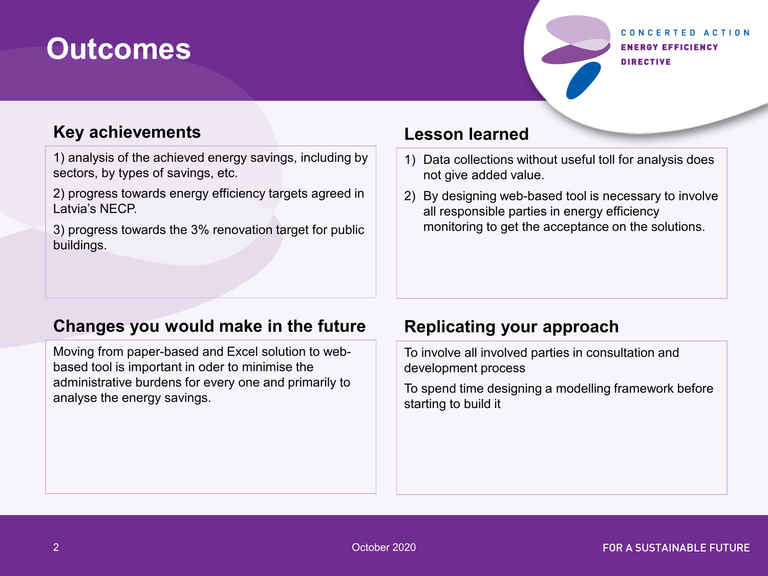# **Outcomes**

#### CONCERTED ACTION **ENERGY EFFICIENCY DIRECTIVE**

### **Key achievements**

1) analysis of the achieved energy savings, including by sectors, by types of savings, etc.

2) progress towards energy efficiency targets agreed in Latvia's NECP.

3) progress towards the 3% renovation target for public buildings.

#### **Lesson learned**

- 1) Data collections without useful toll for analysis does not give added value.
- 2) By designing web-based tool is necessary to involve all responsible parties in energy efficiency monitoring to get the acceptance on the solutions.

#### **Changes you would make in the future**

Moving from paper-based and Excel solution to webbased tool is important in oder to minimise the administrative burdens for every one and primarily to analyse the energy savings.

## **Replicating your approach**

To involve all involved parties in consultation and development process

To spend time designing a modelling framework before starting to build it